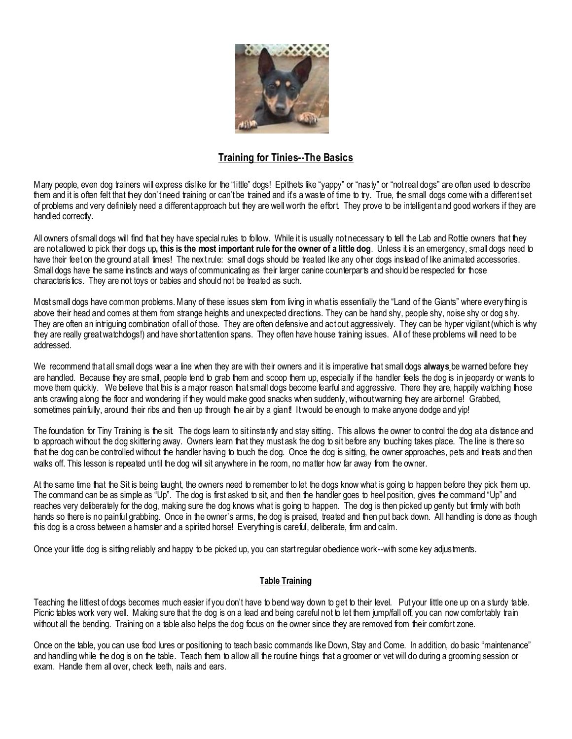

## **Training for Tinies--The Basics**

Many people, even dog trainers will express dislike for the "little" dogs! Epithets like "yappy" or "nasty" or "not real dogs" are often used to describe them and it is often felt that they don't need training or can't be trained and it's a waste of time to try. True, the small dogs come with a different set of problems and very definitely need a different approach but they are well worth the effort. They prove to be intelligent and good workers if they are handled correctly.

All owners of small dogs will find that they have special rules to follow. While it is usually not necessary to tell the Lab and Rottie owners that they are not allowed to pick their dogs up**, this is the most important rule for the owner of a little dog**. Unless it is an emergency, small dogs need to have their feet on the ground at all times! The next rule: small dogs should be treated like any other dogs instead of like animated accessories. Small dogs have the same instincts and ways of communicating as their larger canine counterparts and should be respected for those characteristics. They are not toys or babies and should not be treated as such.

Most small dogs have common problems. Many of these issues stem from living in what is essentially the "Land of the Giants" where every thing is above their head and comes at them from strange heights and unexpected directions. They can be hand shy, people shy, noise shy or dog shy. They are often an intriguing combination of all of those. They are often defensive and act out aggressively. They can be hyper vigilant (which is why they are really great watchdogs!) and have short attention spans. They often have house training issues. All of these problems will need to be addressed.

We recommend that all small dogs wear a line when they are with their owners and it is imperative that small dogs **always** be warned before they are handled. Because they are small, people tend to grab them and scoop them up, especially if the handler feels the dog is in jeopardy or wants to move them quickly. We believe that this is a major reason that small dogs become fearful and aggressive. There they are, happily watching those ants crawling along the floor and wondering if they would make good snacks when suddenly, without warning they are airborne! Grabbed, sometimes painfully, around their ribs and then up through the air by a giant! It would be enough to make anyone dodge and yip!

The foundation for Tiny Training is the sit. The dogs learn to sit instantly and stay sitting. This allows the owner to control the dog at a distance and to approach without the dog skittering away. Owners learn that they must ask the dog to sit before any touching takes place. The line is there so that the dog can be controlled without the handler having to touch the dog. Once the dog is sitting, the owner approaches, pets and treats and then walks off. This lesson is repeated until the dog will sit anywhere in the room, no matter how far away from the owner.

At the same time that the Sit is being taught, the owners need to remember to let the dogs know what is going to happen before they pick them up. The command can be as simple as "Up". The dog is first asked to sit, and then the handler goes to heel position, gives the command "Up" and reaches very deliberately for the dog, making sure the dog knows what is going to happen. The dog is then picked up gently but firmly with both hands so there is no painful grabbing. Once in the owner's arms, the dog is praised, treated and then put back down. All handling is done as though this dog is a cross between a hamster and a spirited horse! Everything is careful, deliberate, firm and calm.

Once your little dog is sitting reliably and happy to be picked up, you can start regular obedience work--with some key adjustments.

## **Table Training**

Teaching the littlest of dogs becomes much easier if you don't have to bend way down to get to their level. Put your little one up on a sturdy table. Picnic tables work very well. Making sure that the dog is on a lead and being careful not to let them jump/fall off, you can now comfortably train without all the bending. Training on a table also helps the dog focus on the owner since they are removed from their comfort zone.

Once on the table, you can use food lures or positioning to teach basic commands like Down, Stay and Come. In addition, do basic "maintenance" and handling while the dog is on the table. Teach them to allow all the routine things that a groomer or vet will do during a grooming session or exam. Handle them all over, check teeth, nails and ears.